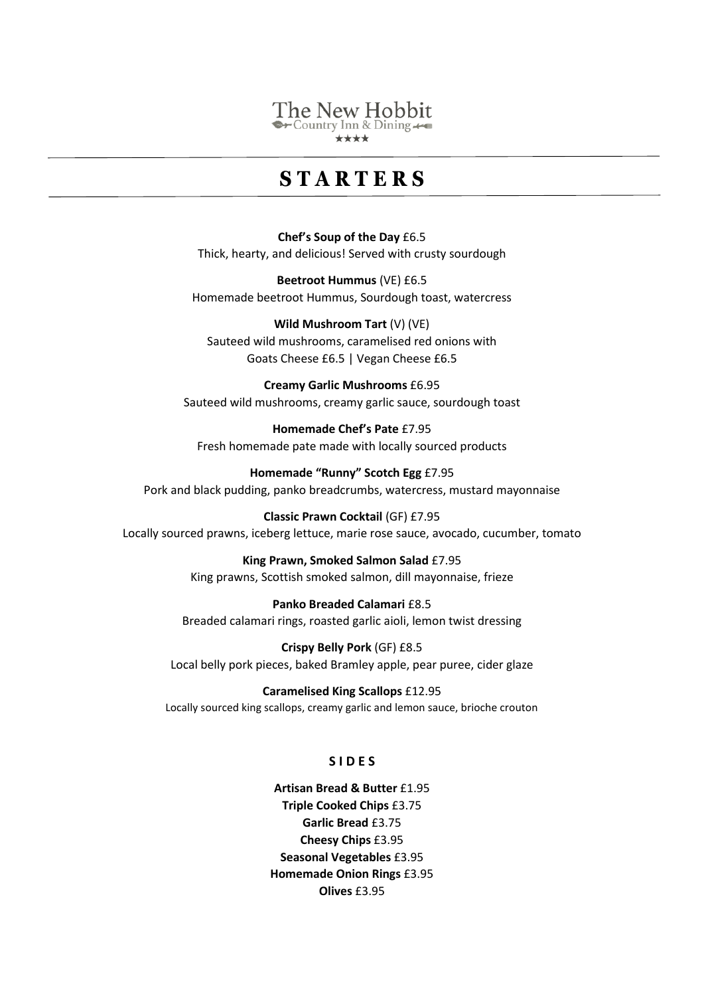#### The New Hobbit  $\rightarrow$  Country Inn & Dining  $\leftarrow$

\*\*\*\*

### **S T A R T E R S**

**Chef's Soup of the Day** £6.5 Thick, hearty, and delicious! Served with crusty sourdough

**Beetroot Hummus** (VE) £6.5 Homemade beetroot Hummus, Sourdough toast, watercress

**Wild Mushroom Tart** (V) (VE) Sauteed wild mushrooms, caramelised red onions with Goats Cheese £6.5 | Vegan Cheese £6.5

**Creamy Garlic Mushrooms** £6.95 Sauteed wild mushrooms, creamy garlic sauce, sourdough toast

**Homemade Chef's Pate** £7.95 Fresh homemade pate made with locally sourced products

**Homemade "Runny" Scotch Egg** £7.95 Pork and black pudding, panko breadcrumbs, watercress, mustard mayonnaise

**Classic Prawn Cocktail** (GF) £7.95 Locally sourced prawns, iceberg lettuce, marie rose sauce, avocado, cucumber, tomato

> **King Prawn, Smoked Salmon Salad** £7.95 King prawns, Scottish smoked salmon, dill mayonnaise, frieze

**Panko Breaded Calamari** £8.5 Breaded calamari rings, roasted garlic aioli, lemon twist dressing

**Crispy Belly Pork** (GF) £8.5 Local belly pork pieces, baked Bramley apple, pear puree, cider glaze

**Caramelised King Scallops** £12.95 Locally sourced king scallops, creamy garlic and lemon sauce, brioche crouton

#### **S I D E S**

**Artisan Bread & Butter** £1.95 **Triple Cooked Chips** £3.75 **Garlic Bread** £3.75 **Cheesy Chips** £3.95 **Seasonal Vegetables** £3.95 **Homemade Onion Rings** £3.95 **Olives** £3.95